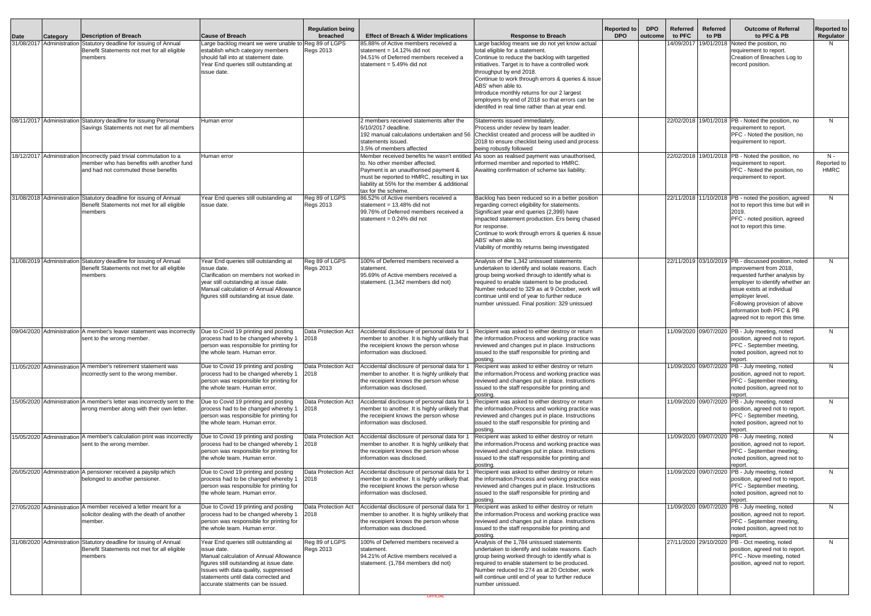|             |                           |                                                                                                                                                         |                                                                                                                                                                                                                                                                | <b>Requlation being</b>            |                                                                                                                                                                                            |                                                                                                                                                                                                                                                                                                                                                                                                                                                 | <b>Reported to</b> | <b>DPO</b> | Referred              | <b>Referred</b>       | <b>Outcome of Referral</b>                                                                                                                                                                                                                                                                          | <b>Reported to</b>           |
|-------------|---------------------------|---------------------------------------------------------------------------------------------------------------------------------------------------------|----------------------------------------------------------------------------------------------------------------------------------------------------------------------------------------------------------------------------------------------------------------|------------------------------------|--------------------------------------------------------------------------------------------------------------------------------------------------------------------------------------------|-------------------------------------------------------------------------------------------------------------------------------------------------------------------------------------------------------------------------------------------------------------------------------------------------------------------------------------------------------------------------------------------------------------------------------------------------|--------------------|------------|-----------------------|-----------------------|-----------------------------------------------------------------------------------------------------------------------------------------------------------------------------------------------------------------------------------------------------------------------------------------------------|------------------------------|
| <b>Date</b> | <b>Category</b>           | Description of Breach                                                                                                                                   | <b>Cause of Breach</b>                                                                                                                                                                                                                                         | breached                           | <b>Effect of Breach &amp; Wider Implications</b>                                                                                                                                           | <b>Response to Breach</b>                                                                                                                                                                                                                                                                                                                                                                                                                       | <b>DPO</b>         | outcome    | to PFC                | to PB                 | to PFC & PB                                                                                                                                                                                                                                                                                         | Regulator                    |
|             |                           | 31/08/2017 Administration Statutory deadline for issuing of Annual<br>Benefit Statements not met for all eligible<br>members                            | Large backlog meant we were unable to Reg 89 of LGPS<br>establish which category members<br>should fall into at statement date.<br>Year End queries still outstanding at<br>issue date.                                                                        | <b>Regs 2013</b>                   | 85.88% of Active members received a<br>statement = $14.12\%$ did not<br>94.51% of Deferred members received a<br>statement = $5.49\%$ did not                                              | Large backlog means we do not yet know actual<br>total eligible for a statement.<br>Continue to reduce the backlog with targetted<br>initiatives. Target is to have a controlled work<br>throughput by end 2018.<br>Continue to work through errors & queries & issue<br>ABS' when able to.<br>Introduce monthly returns for our 2 largest<br>employers by end of 2018 so that errors can be<br>identifed in real time rather than at year end. |                    |            | 14/09/2017            | 19/01/2018            | Noted the position, no<br>requirement to report.<br>Creation of Breaches Log to<br>record position.                                                                                                                                                                                                 | N.                           |
|             |                           | 08/11/2017 Administration Statutory deadline for issuing Personal<br>Savings Statements not met for all members                                         | Human error                                                                                                                                                                                                                                                    |                                    | 2 members received statements after the<br>6/10/2017 deadline.<br>192 manual calculations undertaken and 56<br>statements issued.<br>3.5% of members affected                              | Statements issued immediately.<br>Process under review by team leader.<br>Checklist created and process will be audited in<br>2018 to ensure checklist being used and process<br>being robustly followed                                                                                                                                                                                                                                        |                    |            |                       |                       | 22/02/2018 19/01/2018 PB - Noted the position, no<br>requirement to report.<br>PFC - Noted the position, no<br>requirement to report.                                                                                                                                                               | N                            |
|             |                           | 18/12/2017 Administration Incorrectly paid trivial commutation to a<br>member who has benefits with another fund<br>and had not commuted those benefits | Human error                                                                                                                                                                                                                                                    |                                    | to. No other member affected.<br>Payment is an unauthorised payment &<br>must be reported to HMRC, resulting in tax<br>liability at 55% for the member & additional<br>tax for the scheme. | Member received benefits he wasn't entitled As soon as realised payment was unauthorised,<br>informed member and reported to HMRC.<br>Awaiting confirmation of scheme tax liability.                                                                                                                                                                                                                                                            |                    |            |                       |                       | 22/02/2018 19/01/2018 PB - Noted the position, no<br>requirement to report.<br>PFC - Noted the position, no<br>requirement to report.                                                                                                                                                               | $N -$<br>Reported to<br>HMRC |
|             |                           | 31/08/2018 Administration Statutory deadline for issuing of Annual<br>Benefit Statements not met for all eligible<br>members                            | Year End queries still outstanding at<br>issue date.                                                                                                                                                                                                           | Reg 89 of LGPS<br><b>Regs 2013</b> | 86.52% of Active members received a<br>statement = $13.48\%$ did not<br>99.76% of Deferred members received a<br>statement = $0.24\%$ did not                                              | Backlog has been reduced so in a better position<br>regarding correct eligibility for statements.<br>Significant year end queries (2,399) have<br>impacted statement production. Ers being chased<br>for response.<br>Continue to work through errors & queries & issue<br>ABS' when able to.<br>Viability of monthly returns being investigated                                                                                                |                    |            |                       |                       | 22/11/2018 11/10/2018 PB - noted the position, agreed<br>not to report this time but will in<br>2019.<br>PFC - noted position, agreed<br>not to report this time.                                                                                                                                   | N                            |
|             |                           | 31/08/2019 Administration Statutory deadline for issuing of Annual<br>Benefit Statements not met for all eligible<br>members                            | Year End queries still outstanding at<br>issue date.<br>lClarification on members not worked in<br>year still outstanding at issue date.<br>Manual calculation of Annual Allowance<br>figures still outstanding at issue date.                                 | Reg 89 of LGPS<br><b>Regs 2013</b> | 100% of Deferred members received a<br>statement.<br>95.69% of Active members received a<br>statement. (1,342 members did not)                                                             | Analysis of the 1,342 unissued statements<br>undertaken to identify and isolate reasons. Each<br>group being worked through to identify what is<br>required to enable statement to be produced.<br>Number reduced to 329 as at 9 October, work will<br>continue until end of year to further reduce<br>number unissued. Final position: 329 unissued                                                                                            |                    |            |                       |                       | 22/11/2019 03/10/2019 PB - discussed position, noted<br>improvement from 2018,<br>requested further analysis by<br>employer to identify whether an<br>issue exists at individual<br>employer level.<br>Following provision of above<br>information both PFC & PB<br>agreed not to report this time. | N                            |
|             | 09/04/2020 Administration | A member's leaver statement was incorrectly<br>sent to the wrong member.                                                                                | Due to Covid 19 printing and posting<br>process had to be changed whereby 1<br>person was responsible for printing for<br>the whole team. Human error.                                                                                                         | Data Protection Act<br>2018        | Accidental disclosure of personal data for '<br>member to another. It is highly unlikely that<br>the receipient knows the person whose<br>information was disclosed.                       | Recipient was asked to either destroy or return<br>the information. Process and working practice was<br>reviewed and changes put in place. Instructions<br>issued to the staff responsible for printing and<br>posting.                                                                                                                                                                                                                         |                    |            |                       | 11/09/2020 09/07/2020 | PB - July meeting, noted<br>position, agreed not to report.<br>PFC - September meeting,<br>noted position, agreed not to<br>report.                                                                                                                                                                 | N                            |
|             | 11/05/2020 Administration | A member's retirement statement was<br>incorrectly sent to the wrong member.                                                                            | Due to Covid 19 printing and posting<br>process had to be changed whereby 1<br>person was responsible for printing for<br>the whole team. Human error.                                                                                                         | Data Protection Act<br>2018        | Accidental disclosure of personal data for '<br>member to another. It is highly unlikely that<br>the receipient knows the person whose<br>information was disclosed.                       | Recipient was asked to either destroy or return<br>the information. Process and working practice was<br>reviewed and changes put in place. Instructions<br>issued to the staff responsible for printing and<br>posting.                                                                                                                                                                                                                         |                    |            |                       | 11/09/2020 09/07/2020 | PB - July meeting, noted<br>position, agreed not to report.<br>PFC - September meeting,<br>noted position, agreed not to<br>report.                                                                                                                                                                 | N.                           |
|             | 15/05/2020 Administration | A member's letter was incorrectly sent to the<br>wrong member along with their own letter.                                                              | Due to Covid 19 printing and posting<br>process had to be changed whereby 1<br>person was responsible for printing for<br>the whole team. Human error.                                                                                                         | Data Protection Act<br>2018        | Accidental disclosure of personal data for '<br>member to another. It is highly unlikely that<br>the receipient knows the person whose<br>information was disclosed.                       | Recipient was asked to either destroy or return<br>the information. Process and working practice was<br>reviewed and changes put in place. Instructions<br>issued to the staff responsible for printing and<br>posting.                                                                                                                                                                                                                         |                    |            |                       | 11/09/2020 09/07/2020 | PB - July meeting, noted<br>position, agreed not to report.<br>PFC - September meeting,<br>noted position, agreed not to<br>report.                                                                                                                                                                 | N.                           |
|             |                           | 15/05/2020 Administration A member's calculation print was incorrectly<br>sent to the wrong member.                                                     | Due to Covid 19 printing and posting<br>process had to be changed whereby 1<br>person was responsible for printing for<br>the whole team. Human error.                                                                                                         | Data Protection Act<br>2018        | Accidental disclosure of personal data for '<br>member to another. It is highly unlikely that<br>the receipient knows the person whose<br>information was disclosed.                       | Recipient was asked to either destroy or return<br>the information. Process and working practice was<br>reviewed and changes put in place. Instructions<br>issued to the staff responsible for printing and<br>posting.                                                                                                                                                                                                                         |                    |            |                       | 11/09/2020 09/07/2020 | PB - July meeting, noted<br>position, agreed not to report.<br>PFC - September meeting,<br>noted position, agreed not to<br>report.                                                                                                                                                                 | N.                           |
|             | 26/05/2020 Administration | A pensioner received a payslip which<br>belonged to another pensioner.                                                                                  | Due to Covid 19 printing and posting<br>process had to be changed whereby 1<br>person was responsible for printing for<br>the whole team. Human error.                                                                                                         | Data Protection Act<br>2018        | Accidental disclosure of personal data for '<br>member to another. It is highly unlikely that<br>the receipient knows the person whose<br>information was disclosed.                       | Recipient was asked to either destroy or return<br>the information. Process and working practice was<br>reviewed and changes put in place. Instructions<br>issued to the staff responsible for printing and<br>posting.                                                                                                                                                                                                                         |                    |            |                       | 11/09/2020 09/07/2020 | PB - July meeting, noted<br>position, agreed not to report.<br>PFC - September meeting,<br>noted position, agreed not to<br>report.                                                                                                                                                                 | N.                           |
|             | 27/05/2020 Administration | A member received a letter meant for a<br>solicitor dealing with the death of another<br>member.                                                        | Due to Covid 19 printing and posting<br>process had to be changed whereby 1<br>person was responsible for printing for<br>the whole team. Human error.                                                                                                         | Data Protection Act<br>2018        | Accidental disclosure of personal data for '<br>member to another. It is highly unlikely that<br>the receipient knows the person whose<br>information was disclosed.                       | Recipient was asked to either destroy or return<br>the information. Process and working practice was<br>reviewed and changes put in place. Instructions<br>issued to the staff responsible for printing and<br>posting.                                                                                                                                                                                                                         |                    |            |                       | 11/09/2020 09/07/2020 | PB - July meeting, noted<br>position, agreed not to report.<br>PFC - September meeting,<br>noted position, agreed not to<br>report.                                                                                                                                                                 | N.                           |
|             |                           | 31/08/2020 Administration Statutory deadline for issuing of Annual<br>Benefit Statements not met for all eligible<br>members                            | Year End queries still outstanding at<br>issue date.<br>Manual calculation of Annual Allowance<br>figures still outstanding at issue date.<br>Issues with data quality, suppressed<br>statements until data corrected and<br>accurate statments can be issued. | Reg 89 of LGPS<br>Regs 2013        | 100% of Deferred members received a<br>statement.<br>94.21% of Active members received a<br>statement. (1,784 members did not)                                                             | Analysis of the 1,784 unissued statements<br>undertaken to identify and isolate reasons. Each<br>group being worked through to identify what is<br>required to enable statement to be produced.<br>Number reduced to 274 as at 20 October, work<br>will continue until end of year to further reduce<br>number unissued.                                                                                                                        |                    |            | 27/11/2020 29/10/2020 |                       | PB - Oct meeting, noted<br>position, agreed not to report.<br>PFC - Nove meeting, noted<br>position, agreed not to report.                                                                                                                                                                          | N                            |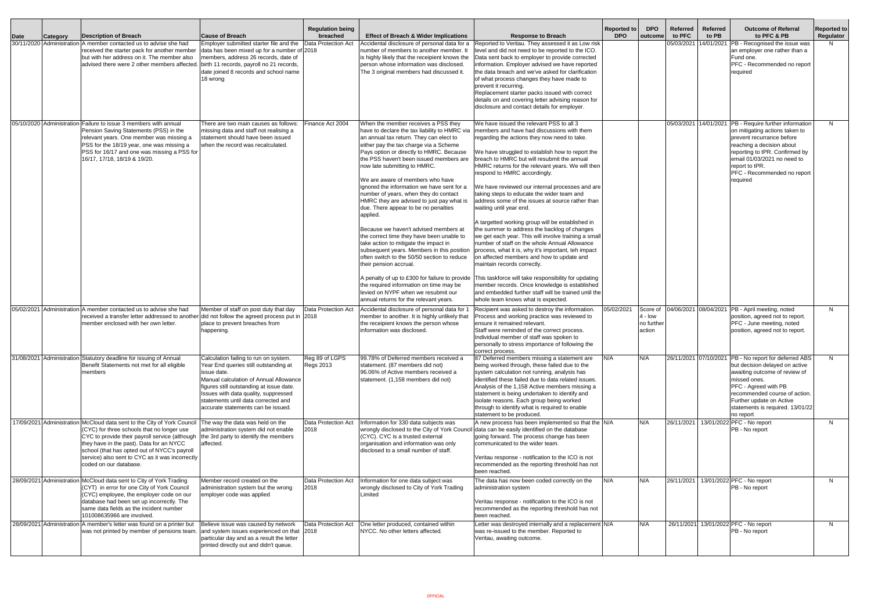| Date | <b>Category</b>           | <b>Description of Breach</b>                                                                                                                                                                                                                                                                                                                                                      | <b>Cause of Breach</b>                                                                                                                                                                                                                                                                                   | <b>Regulation being</b><br>breached | <b>Effect of Breach &amp; Wider Implications</b>                                                                                                                                                                                                                                                                                                                                                                                                                                                                                                                                                                                                                                                                                                                                                                                                                                                               | <b>Response to Breach</b>                                                                                                                                                                                                                                                                                                                                                                                                                                                                                                                                                                                                                                                                                                                                                                                                                                                                                                                                                                                                                                                                                            | <b>Reported to</b><br><b>DPO</b> | <b>DPO</b><br>outcome                       | Referred<br>to PFC | <b>Referred</b><br>to PB | <b>Outcome of Referral</b><br>to PFC & PB                                                                                                                                                                                                                  | <b>Reported to</b><br>Regulator |
|------|---------------------------|-----------------------------------------------------------------------------------------------------------------------------------------------------------------------------------------------------------------------------------------------------------------------------------------------------------------------------------------------------------------------------------|----------------------------------------------------------------------------------------------------------------------------------------------------------------------------------------------------------------------------------------------------------------------------------------------------------|-------------------------------------|----------------------------------------------------------------------------------------------------------------------------------------------------------------------------------------------------------------------------------------------------------------------------------------------------------------------------------------------------------------------------------------------------------------------------------------------------------------------------------------------------------------------------------------------------------------------------------------------------------------------------------------------------------------------------------------------------------------------------------------------------------------------------------------------------------------------------------------------------------------------------------------------------------------|----------------------------------------------------------------------------------------------------------------------------------------------------------------------------------------------------------------------------------------------------------------------------------------------------------------------------------------------------------------------------------------------------------------------------------------------------------------------------------------------------------------------------------------------------------------------------------------------------------------------------------------------------------------------------------------------------------------------------------------------------------------------------------------------------------------------------------------------------------------------------------------------------------------------------------------------------------------------------------------------------------------------------------------------------------------------------------------------------------------------|----------------------------------|---------------------------------------------|--------------------|--------------------------|------------------------------------------------------------------------------------------------------------------------------------------------------------------------------------------------------------------------------------------------------------|---------------------------------|
|      | 30/11/2020 Administration | A member contacted us to advise she had<br>received the starter pack for another member<br>but with her address on it. The member also<br>advised there were 2 other members affected. birth 11 records, payroll no 21 records,                                                                                                                                                   | Employer submitted starter file and the<br>data has been mixed up for a number of 2018<br>members, address 26 records, date of<br>date joined 8 records and school name<br>18 wrong                                                                                                                      | Data Protection Act                 | Accidental disclosure of personal data for a<br>number of members to another member. It<br>is highly likely that the receipient knows the<br>person whose information was disclosed.<br>The 3 original members had discussed it.                                                                                                                                                                                                                                                                                                                                                                                                                                                                                                                                                                                                                                                                               | Reported to Veritau. They assessed it as Low risk<br>level and did not need to be reported to the ICO.<br>Data sent back to employer to provide corrected<br>information. Employer advised we have reported<br>the data breach and we've asked for clarification<br>of what process changes they have made to<br>prevent it recurring.<br>Replacement starter packs issued with correct<br>details on and covering letter advising reason for<br>disclosure and contact details for employer.                                                                                                                                                                                                                                                                                                                                                                                                                                                                                                                                                                                                                        |                                  |                                             | 05/03/2021         | 14/01/2021               | PB - Recognised the issue was<br>an employer one rather than a<br>Fund one.<br>PFC - Recommended no report<br>required                                                                                                                                     |                                 |
|      |                           | 05/10/2020 Administration Failure to issue 3 members with annual<br>Pension Saving Statements (PSS) in the<br>relevant years. One member was missing a<br>PSS for the 18/19 year, one was missing a<br>PSS for 16/17 and one was missing a PSS for<br>16/17, 17/18, 18/19 & 19/20.                                                                                                | here are two main causes as follows:<br>missing data and staff not realising a<br>statement should have been issued<br>when the record was recalculated.                                                                                                                                                 | inance Act 2004                     | When the member receives a PSS thev<br>have to declare the tax liability to HMRC via<br>an annual tax return. They can elect to<br>either pay the tax charge via a Scheme<br>Pays option or directly to HMRC. Because<br>the PSS haven't been issued members are<br>now late submitting to HMRC.<br>We are aware of members who have<br>ignored the information we have sent for a<br>number of years, when they do contact<br>HMRC they are advised to just pay what is<br>due. There appear to be no penalties<br>applied.<br>Because we haven't advised members at<br>the correct time they have been unable to<br>take action to mitigate the impact in<br>subsequent years. Members in this position<br>often switch to the 50/50 section to reduce<br>their pension accrual.<br>the required information on time may be<br>levied on NYPF when we resubmit our<br>annual returns for the relevant years. | We have issued the relevant PSS to all 3<br>members and have had discussions with them<br>regarding the actions they now need to take.<br>We have struggled to establish how to report the<br>breach to HMRC but will resubmit the annual<br>HMRC returns for the relevant years. We will then<br>respond to HMRC accordingly.<br>We have reviewed our internal processes and are<br>taking steps to educate the wider team and<br>address some of the issues at source rather than<br>waiting until year end.<br>A targetted working group will be established in<br>the summer to address the backlog of changes<br>we get each year. This will involve training a small<br>number of staff on the whole Annual Allowance<br>process, what it is, why it's important, teh impact<br>on affected members and how to update and<br>maintain records correctly.<br>A penalty of up to £300 for failure to provide This taskforce will take responsibility for updating<br>member records. Once knowledge is established<br>and embedded further staff will be trained until the<br>whole team knows what is expected. |                                  |                                             | 05/03/2021         | $\sqrt{14/01/2021}$      | PB - Require further information<br>on mitigating actions taken to<br>prevent recurrance before<br>reaching a decision about<br>reporting to tPR. Confirmed by<br>email 01/03/2021 no need to<br>report to tPR.<br>PFC - Recommended no report<br>required | N                               |
|      |                           | 05/02/2021 Administration A member contacted us to advise she had<br>received a transfer letter addressed to another did not follow the agreed process put in 2018<br>member enclosed with her own letter.                                                                                                                                                                        | Member of staff on post duty that day<br>place to prevent breaches from<br>happening.                                                                                                                                                                                                                    | Data Protection Act                 | Accidental disclosure of personal data for 1<br>member to another. It is highly unlikely that<br>the receipient knows the person whose<br>information was disclosed.                                                                                                                                                                                                                                                                                                                                                                                                                                                                                                                                                                                                                                                                                                                                           | Recipient was asked to destroy the information.<br>Process and working practice was reviewed to<br>ensure it remained relevant.<br>Staff were reminded of the correct process.<br>Individual member of staff was spoken to<br>personally to stress importance of following the<br>correct process.                                                                                                                                                                                                                                                                                                                                                                                                                                                                                                                                                                                                                                                                                                                                                                                                                   | 05/02/2021                       | Score of<br>4 - Iow<br>no further<br>action | 04/06/2021         |                          | 08/04/2021   PB - April meeting, noted<br>position, agreed not to report.<br>PFC - June meeting, noted<br>position, agreed not to report.                                                                                                                  | N                               |
|      |                           | 31/08/2021 Administration Statutory deadline for issuing of Annual<br>Benefit Statements not met for all eligible<br>members                                                                                                                                                                                                                                                      | Calculation failing to run on system.<br>Year End queries still outstanding at<br>issue date.<br>Manual calculation of Annual Allowance<br>figures still outstanding at issue date.<br>Issues with data quality, suppressed<br>statements until data corrected and<br>accurate statements can be issued. | Reg 89 of LGPS<br>Regs 2013         | 199.78% of Deferred members received a<br>statement. (87 members did not)<br>96.06% of Active members received a<br>statement. (1.158 members did not)                                                                                                                                                                                                                                                                                                                                                                                                                                                                                                                                                                                                                                                                                                                                                         | 87 Deferred members missing a statement are<br>being worked through, these failed due to the<br>system calculation not running, analysis has<br>identified these failed due to data related issues.<br>Analysis of the 1,158 Active members missing a<br>statement is being undertaken to identify and<br>isolate reasons. Each group being worked<br>through to identify what is required to enable<br>statement to be produced.                                                                                                                                                                                                                                                                                                                                                                                                                                                                                                                                                                                                                                                                                    | N/A                              | N/A                                         |                    | 26/11/2021 07/10/2021    | PB - No report for deferred ABS<br>but decision delayed on active<br>awaiting outcome of review of<br>missed ones.<br>PFC - Agreed with PB<br>recommended course of action.<br>Further update on Active<br>statements is required. 13/01/22<br>no report   | N                               |
|      |                           | 17/09/2021 Administration McCloud data sent to the City of York Council The way the data was held on the<br>(CYC) for three schools that no longer use<br>CYC to provide their payroll service (although<br>they have in the past). Data for an NYCC<br>school (that has opted out of NYCC's payroll<br>service) also sent to CYC as it was incorrectly<br>coded on our database. | administration system did not enable<br>the 3rd party to identify the members<br>affected.                                                                                                                                                                                                               | Data Protection Act<br>2018         | Information for 330 data subjects was<br>wrongly disclosed to the City of York Council<br>(CYC). CYC is a trusted external<br>organisation and information was only<br>disclosed to a small number of staff                                                                                                                                                                                                                                                                                                                                                                                                                                                                                                                                                                                                                                                                                                    | A new process has been implemented so that the N/A<br>data can be easily identified on the database<br>going forward. The process change has been<br>communicated to the wider team.<br>Veritau response - notification to the ICO is not<br>recommended as the reporting threshold has not<br>been reached.                                                                                                                                                                                                                                                                                                                                                                                                                                                                                                                                                                                                                                                                                                                                                                                                         |                                  | N/A                                         | 26/11/2021         |                          | 13/01/2022 PFC - No report<br>PB - No report                                                                                                                                                                                                               | N                               |
|      | 28/09/2021 Administration | McCloud data sent to City of York Trading<br>(CYT) in error for one City of York Council<br>(CYC) employee, the employer code on our<br>database had been set up incorrectly. The<br>same data fields as the incident number<br>101008635966 are involved.                                                                                                                        | Member record created on the<br>administration system but the wrong<br>employer code was applied                                                                                                                                                                                                         | Data Protection Act<br>2018         | Information for one data subject was<br>wrongly disclosed to City of York Trading<br>Limited                                                                                                                                                                                                                                                                                                                                                                                                                                                                                                                                                                                                                                                                                                                                                                                                                   | The data has now been coded correctly on the<br>administration system<br>Veritau response - notification to the ICO is not<br>recommended as the reporting threshold has not<br>been reached.                                                                                                                                                                                                                                                                                                                                                                                                                                                                                                                                                                                                                                                                                                                                                                                                                                                                                                                        | N/A                              | N/A                                         | 26/11/2021         |                          | 13/01/2022 PFC - No report<br>PB - No report                                                                                                                                                                                                               | N                               |
|      | 28/09/2021 Administration | A member's letter was found on a printer but<br>was not printed by member of pensions team.                                                                                                                                                                                                                                                                                       | Believe issue was caused by network<br>and system issues experienced on that 2018<br>particular day and as a result the letter<br>printed directly out and didn't queue.                                                                                                                                 | Data Protection Act                 | One letter produced, contained within<br>NYCC. No other letters affected.                                                                                                                                                                                                                                                                                                                                                                                                                                                                                                                                                                                                                                                                                                                                                                                                                                      | Letter was destroyed internally and a replacement N/A<br>was re-issued to the member. Reported to<br>Veritau, awaiting outcome.                                                                                                                                                                                                                                                                                                                                                                                                                                                                                                                                                                                                                                                                                                                                                                                                                                                                                                                                                                                      |                                  | N/A                                         | 26/11/2021         |                          | 13/01/2022 PFC - No report<br>PB - No report                                                                                                                                                                                                               | N                               |